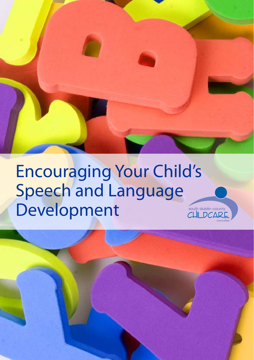# Encouraging Your Child's Speech and Language Development

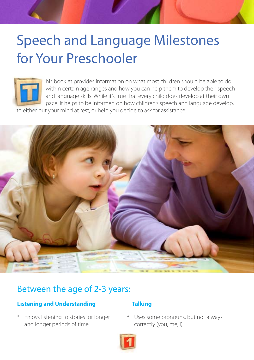# Speech and Language Milestones for Your Preschooler



 his booklet provides information on what most children should be able to do within certain age ranges and how you can help them to develop their speech and language skills. While it's true that every child does develop at their own pace, it helps to be informed on how children's speech and language develop,

to either put your mind at rest, or help you decide to ask for assistance.



### Between the age of 2-3 years:

#### **Listening and Understanding Talking**

\* Enjoys listening to stories for longer and longer periods of time

Uses some pronouns, but not always correctly (you, me, I)

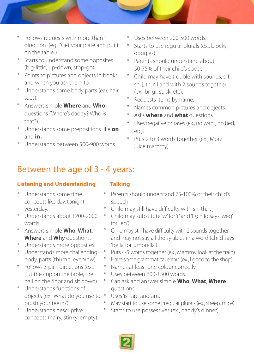- \* Follows requests with more than 1 direction (eg., "Get your plate and put it on the table").
- \* Starts to understand some opposites (big-little, up-down, stop-go).
- \* Points to pictures and objects in books and when you ask them to.
- \* Understands some body parts (ear, hair, toes).
- \* Answers simple **Where** and **Who** questions (Where's daddy? Who is that?).
- \* Understands some prepositions like **on** and **in.**
- \* Understands between 500-900 words.
- Uses between 200-500 words.
- Starts to use regular plurals (ex., blocks, doggies).
- Parents should understand about 50-75% of their child's speech.
- \* Child may have trouble with sounds, s, f, sh, j, th, r, l and with 2 sounds together (ex., br, gr, st, sk, etc).
- Requests items by name.
- Names common pictures and objects.
- Asks **where** and **what** questions.
- Uses negative phrases (ex., no want, no bed, etc).
- Puts 2 to 3 words together (ex., More juice mammy).

## Between the age of 3 - 4 years:

### **Listening and Understanding Talking**

- Understands some time concepts like day, tonight, yesterday.
- \* Understands about 1200-2000 words.
- \* Answers simple **Who, What, Where** and **Why** questions.
- \* Understands more opposites.
- \* Understands more challenging body parts (thumb, eyebrow).
- \* Follows 3 part directions (ex., Put the cup on the table, the ball on the floor and sit down).
- \* Understands functions of objects (ex., What do you use to brush your teeth?).
- \* Understands descriptive concepts (hairy, stinky, empty).

- \* Parents should understand 75-100% of their child's speech.
- Child may still have difficulty with sh, th, r, j.
- \* Child may substitute 'w' for 'r' and 'l' (child says 'weg' for 'leg').
- \* Child may still have difficulty with 2 sounds together and may not say all the sylables in a word (child says 'bella' for 'umbrella').
- Puts 4-5 words together (ex., Mammy look at the train).
- \* Have some grammatical errors (ex., I goed to the shop).
- Names at least one colour correctly.
- \* Uses between 800-1500 words.
- \* Can ask and answer simple **Who**, **What**, **Where** questions.
- Uses 'is', 'are' and 'am'.
- May start to use some irregular plurals (ex., sheep, mice).
- Starts to use possessives (ex., daddy's dinner).

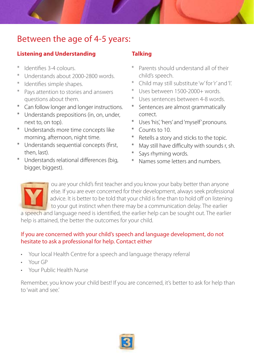## Between the age of 4-5 years:

#### **Listening and Understanding Talking**

- \* Identifies 3-4 colours.
- \* Understands about 2000-2800 words.
- \* Identifies simple shapes.
- \* Pays attention to stories and answers questions about them.
- \* Can follow longer and longer instructions.
- \* Understands prepositions (in, on, under, next to, on top).
- \* Understands more time concepts like morning, afternoon, night time.
- \* Understands sequential concepts (first, then, last).
- \* Understands relational differences (big, bigger, biggest).

- Parents should understand all of their child's speech.
- Child may still substitute 'w' for 'r' and 'l'.
- Uses between 1500-2000+ words.
- Uses sentences between 4-8 words.
- \* Sentences are almost grammatically correct.
- Uses 'his', 'hers' and 'myself' pronouns.
- \* Counts to 10.
- Retells a story and sticks to the topic.
- May still have difficulty with sounds r, sh.
- Says rhyming words.
- Names some letters and numbers.



 ou are your child's first teacher and you know your baby better than anyone else. If you are ever concerned for their development, always seek professional advice. It is better to be told that your child is fine than to hold off on listening to your gut instinct when there may be a communication delay. The earlier

a speech and language need is identified, the earlier help can be sought out. The earlier help is attained, the better the outcomes for your child.

#### If you are concerned with your child's speech and language development, do not hesitate to ask a professional for help. Contact either

- Your local Health Centre for a speech and language therapy referral
- Your GP
- Your Public Health Nurse

Remember, you know your child best! If you are concerned, it's better to ask for help than to 'wait and see.'

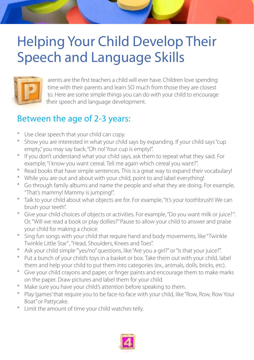# Helping Your Child Develop Their Speech and Language Skills



 arents are the first teachers a child will ever have. Children love spending time with their parents and learn SO much from those they are closest to. Here are some simple things you can do with your child to encourage their speech and language development.

## Between the age of 2-3 years:

- \* Use clear speech that your child can copy.
- \* Show you are interested in what your child says by expanding. If your child says "cup empty," you may say back, "Oh no! Your cup is empty!".
- \* If you don't understand what your child says, ask them to repeat what they said. For example, "I know you want cereal. Tell me again which cereal you want?".
- \* Read books that have simple sentences. This is a great way to expand their vocabulary!
- \* While you are out and about with your child, point to and label everything!
- \* Go through family albums and name the people and what they are doing. For example, "That's mammy! Mammy is jumping!".
- \* Talk to your child about what objects are for. For example, "It's your toothbrush! We can brush your teeth".
- \* Give your child choices of objects or activities. For example, "Do you want milk or juice? ". Or, "Will we read a book or play dollies?" Pause to allow your child to answer and praise your child for making a choice.
- \* Sing fun songs with your child that require hand and body movements, like "Twinkle Twinkle Little Star" , "Head, Shoulders, Knees and Toes".
- \* Ask your child simple '"yes/no" questions, like "Are you a girl?" or "Is that your juice?".
- \* Put a bunch of your child's toys in a basket or box. Take them out with your child, label them and help your child to put them into categories (ex., animals, dolls, bricks, etc).
- \* Give your child crayons and paper, or finger paints and encourage them to make marks on the paper. Draw pictures and label them for your child.
- \* Make sure you have your child's attention before speaking to them.
- \* Play 'games' that require you to be face-to-face with your child, like "Row, Row, Row Your Boat" or Pattycake.
- \* Limit the amount of time your child watches telly.

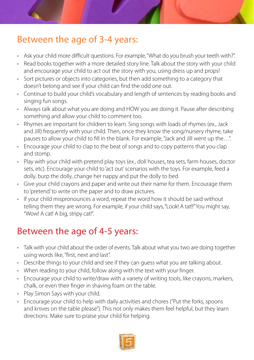## Between the age of 3-4 years:

- Ask your child more difficult questions. For example, "What do you brush your teeth with?".
- Read books together with a more detailed story line. Talk about the story with your child and encourage your child to act out the story with you, using dress up and props!
- Sort pictures or objects into categories, but then add something to a category that doesn't belong and see if your child can find the odd one out.
- Continue to build your child's vocabulary and length of sentences by reading books and singing fun songs.
- Always talk about what you are doing and HOW you are doing it. Pause after describing something and allow your child to comment too.
- Rhymes are important for children to learn. Sing songs with loads of rhymes (ex., Jack and Jill) frequently with your child. Then, once they know the song/nursery rhyme, take pauses to allow your child to fill in the blank. For example, "Jack and Jill went up the…".
- Encourage your child to clap to the beat of songs and to copy patterns that you clap and stomp.
- Play with your child with pretend play toys (ex., doll houses, tea sets, farm houses, doctor sets, etc). Encourage your child to 'act out' scenarios with the toys. For example, feed a dolly, burp the dolly, change her nappy and put the dolly to bed.
- Give your child crayons and paper and write out their name for them. Encourage them to 'pretend' to write on the paper and to draw pictures.
- If your child mispronounces a word, repeat the word how it should be said without telling them they are wrong. For example, if your child says, "Look! A tat!!" You might say, "Wow! A cat! A big, stripy cat!".

# Between the age of 4-5 years:

- Talk with your child about the order of events. Talk about what you two are doing together using words like, "first, next and last".
- Describe things to your child and see if they can guess what you are talking about.
- When reading to your child, follow along with the text with your finger.
- Encourage your child to write/draw with a variety of writing tools, like crayons, markers, chalk, or even their finger in shaving foam on the table.
- Play Simon Says with your child.
- Encourage your child to help with daily activities and chores ("Put the forks, spoons and knives on the table please"). This not only makes them feel helpful, but they learn directions. Make sure to praise your child for helping.

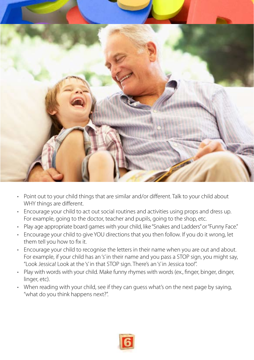

- Point out to your child things that are similar and/or different. Talk to your child about WHY things are different.
- Encourage your child to act out social routines and activities using props and dress up. For example, going to the doctor, teacher and pupils, going to the shop, etc.
- Play age appropriate board games with your child, like "Snakes and Ladders" or "Funny Face."
- Encourage your child to give YOU directions that you then follow. If you do it wrong, let them tell you how to fix it.
- Encourage your child to recognise the letters in their name when you are out and about. For example, if your child has an 's' in their name and you pass a STOP sign, you might say, "Look Jessica! Look at the 's' in that STOP sign. There's an 's' in Jessica too!".
- Play with words with your child. Make funny rhymes with words (ex., finger, binger, dinger, linger, etc).
- When reading with your child, see if they can guess what's on the next page by saying, "what do you think happens next?".